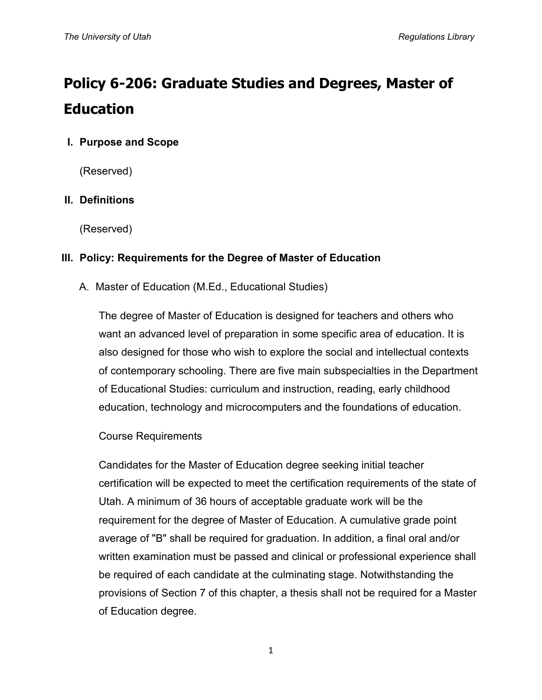# **Policy 6-206: Graduate Studies and Degrees, Master of Education**

# **I. Purpose and Scope**

(Reserved)

# **II. Definitions**

(Reserved)

# **III. Policy: Requirements for the Degree of Master of Education**

A. Master of Education (M.Ed., Educational Studies)

The degree of Master of Education is designed for teachers and others who want an advanced level of preparation in some specific area of education. It is also designed for those who wish to explore the social and intellectual contexts of contemporary schooling. There are five main subspecialties in the Department of Educational Studies: curriculum and instruction, reading, early childhood education, technology and microcomputers and the foundations of education.

## Course Requirements

Candidates for the Master of Education degree seeking initial teacher certification will be expected to meet the certification requirements of the state of Utah. A minimum of 36 hours of acceptable graduate work will be the requirement for the degree of Master of Education. A cumulative grade point average of "B" shall be required for graduation. In addition, a final oral and/or written examination must be passed and clinical or professional experience shall be required of each candidate at the culminating stage. Notwithstanding the provisions of Section 7 of this chapter, a thesis shall not be required for a Master of Education degree.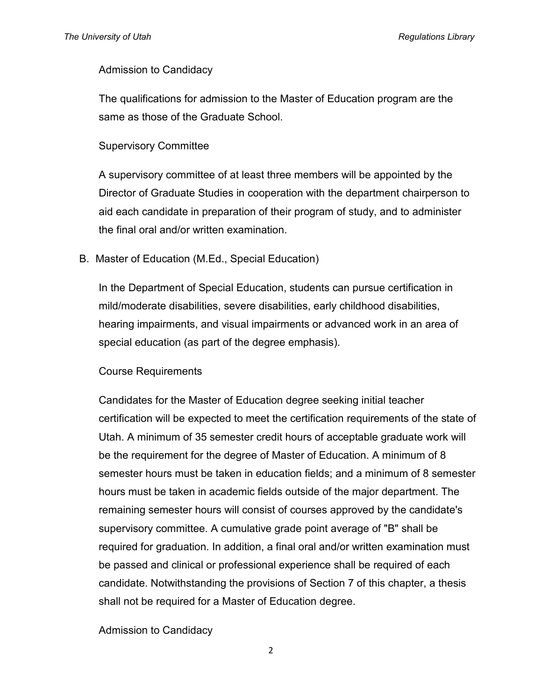#### Admission to Candidacy

The qualifications for admission to the Master of Education program are the same as those of the Graduate School.

#### Supervisory Committee

A supervisory committee of at least three members will be appointed by the Director of Graduate Studies in cooperation with the department chairperson to aid each candidate in preparation of their program of study, and to administer the final oral and/or written examination.

#### B. Master of Education (M.Ed., Special Education)

In the Department of Special Education, students can pursue certification in mild/moderate disabilities, severe disabilities, early childhood disabilities, hearing impairments, and visual impairments or advanced work in an area of special education (as part of the degree emphasis).

#### Course Requirements

Candidates for the Master of Education degree seeking initial teacher certification will be expected to meet the certification requirements of the state of Utah. A minimum of 35 semester credit hours of acceptable graduate work will be the requirement for the degree of Master of Education. A minimum of 8 semester hours must be taken in education fields; and a minimum of 8 semester hours must be taken in academic fields outside of the major department. The remaining semester hours will consist of courses approved by the candidate's supervisory committee. A cumulative grade point average of "B" shall be required for graduation. In addition, a final oral and/or written examination must be passed and clinical or professional experience shall be required of each candidate. Notwithstanding the provisions of Section 7 of this chapter, a thesis shall not be required for a Master of Education degree.

## Admission to Candidacy

2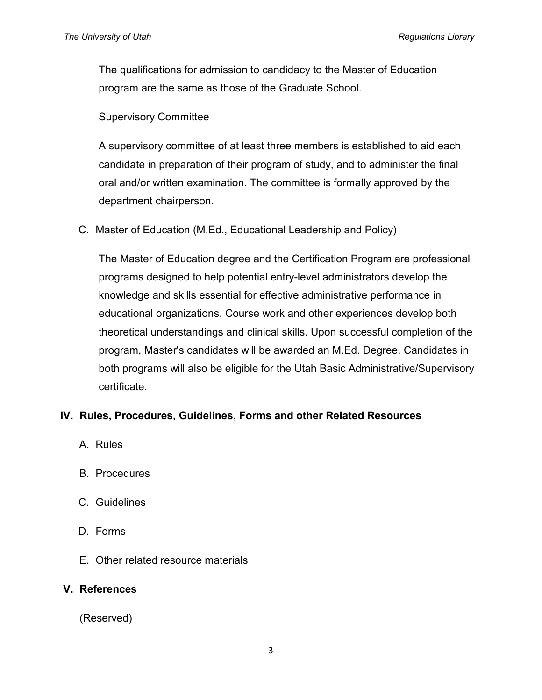The qualifications for admission to candidacy to the Master of Education program are the same as those of the Graduate School.

Supervisory Committee

A supervisory committee of at least three members is established to aid each candidate in preparation of their program of study, and to administer the final oral and/or written examination. The committee is formally approved by the department chairperson.

C. Master of Education (M.Ed., Educational Leadership and Policy)

The Master of Education degree and the Certification Program are professional programs designed to help potential entry-level administrators develop the knowledge and skills essential for effective administrative performance in educational organizations. Course work and other experiences develop both theoretical understandings and clinical skills. Upon successful completion of the program, Master's candidates will be awarded an M.Ed. Degree. Candidates in both programs will also be eligible for the Utah Basic Administrative/Supervisory certificate.

## **IV. Rules, Procedures, Guidelines, Forms and other Related Resources**

- A. Rules
- B. Procedures
- C. Guidelines
- D. Forms
- E. Other related resource materials

## **V. References**

(Reserved)